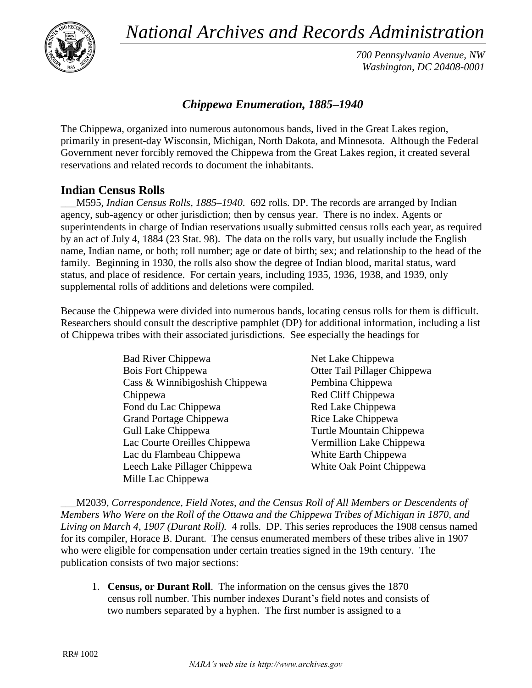*National Archives and Records Administration*



*700 Pennsylvania Avenue, NW Washington, DC 20408-0001*

## *Chippewa Enumeration, 1885–1940*

The Chippewa, organized into numerous autonomous bands, lived in the Great Lakes region, primarily in present-day Wisconsin, Michigan, North Dakota, and Minnesota. Although the Federal Government never forcibly removed the Chippewa from the Great Lakes region, it created several reservations and related records to document the inhabitants.

## **Indian Census Rolls**

\_\_\_M595, *Indian Census Rolls, 1885–1940*. 692 rolls. DP. The records are arranged by Indian agency, sub-agency or other jurisdiction; then by census year. There is no index. Agents or superintendents in charge of Indian reservations usually submitted census rolls each year, as required by an act of July 4, 1884 (23 Stat. 98). The data on the rolls vary, but usually include the English name, Indian name, or both; roll number; age or date of birth; sex; and relationship to the head of the family. Beginning in 1930, the rolls also show the degree of Indian blood, marital status, ward status, and place of residence. For certain years, including 1935, 1936, 1938, and 1939, only supplemental rolls of additions and deletions were compiled.

Because the Chippewa were divided into numerous bands, locating census rolls for them is difficult. Researchers should consult the descriptive pamphlet (DP) for additional information, including a list of Chippewa tribes with their associated jurisdictions. See especially the headings for

| <b>Bad River Chippewa</b>      | Net Lake Chippewa            |
|--------------------------------|------------------------------|
| Bois Fort Chippewa             | Otter Tail Pillager Chippewa |
| Cass & Winnibigoshish Chippewa | Pembina Chippewa             |
| Chippewa                       | Red Cliff Chippewa           |
| Fond du Lac Chippewa           | Red Lake Chippewa            |
| <b>Grand Portage Chippewa</b>  | Rice Lake Chippewa           |
| Gull Lake Chippewa             | Turtle Mountain Chippewa     |
| Lac Courte Oreilles Chippewa   | Vermillion Lake Chippewa     |
| Lac du Flambeau Chippewa       | White Earth Chippewa         |
| Leech Lake Pillager Chippewa   | White Oak Point Chippewa     |
| Mille Lac Chippewa             |                              |

\_\_\_M2039, *Correspondence, Field Notes, and the Census Roll of All Members or Descendents of Members Who Were on the Roll of the Ottawa and the Chippewa Tribes of Michigan in 1870, and Living on March 4, 1907 (Durant Roll).* 4 rolls. DP. This series reproduces the 1908 census named for its compiler, Horace B. Durant. The census enumerated members of these tribes alive in 1907 who were eligible for compensation under certain treaties signed in the 19th century. The publication consists of two major sections:

1. **Census, or Durant Roll**. The information on the census gives the 1870 census roll number. This number indexes Durant's field notes and consists of two numbers separated by a hyphen. The first number is assigned to a